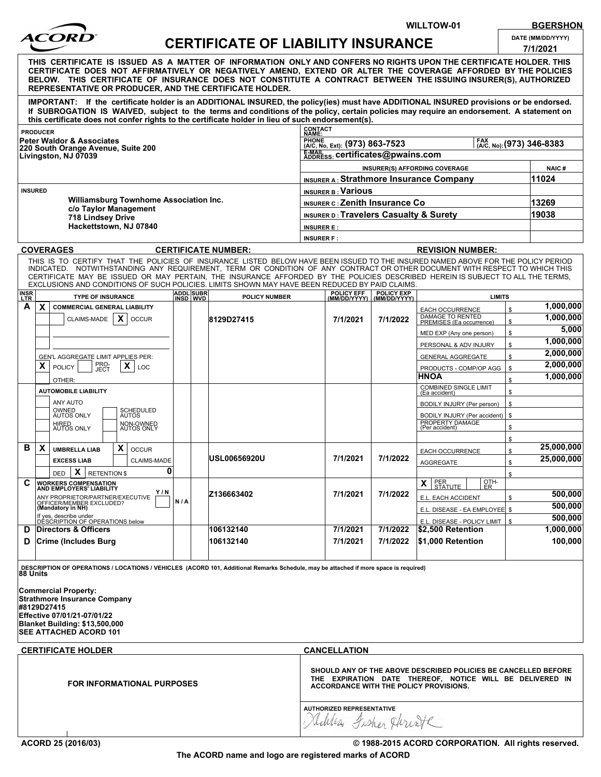

## **CERTIFICATE OF LIABILITY INSURANCE DATE (MM/DD/YYYY)**

WILLTOW-01 BGERSHON

**7/1/2021**

| THIS CERTIFICATE IS ISSUED AS A MATTER OF INFORMATION ONLY AND CONFERS NO RIGHTS UPON THE CERTIFICATE HOLDER. THIS<br>CERTIFICATE DOES NOT AFFIRMATIVELY OR NEGATIVELY AMEND, EXTEND OR ALTER THE COVERAGE AFFORDED BY THE POLICIES<br>BELOW. THIS CERTIFICATE OF INSURANCE DOES NOT CONSTITUTE A CONTRACT BETWEEN THE ISSUING INSURER(S), AUTHORIZED<br>REPRESENTATIVE OR PRODUCER, AND THE CERTIFICATE HOLDER.                                                                                                  |   |                       |                            |                                                                                                                                                                             |                                                                                                        |                                        |                                                          |              |                        |  |
|-------------------------------------------------------------------------------------------------------------------------------------------------------------------------------------------------------------------------------------------------------------------------------------------------------------------------------------------------------------------------------------------------------------------------------------------------------------------------------------------------------------------|---|-----------------------|----------------------------|-----------------------------------------------------------------------------------------------------------------------------------------------------------------------------|--------------------------------------------------------------------------------------------------------|----------------------------------------|----------------------------------------------------------|--------------|------------------------|--|
| IMPORTANT: If the certificate holder is an ADDITIONAL INSURED, the policy(ies) must have ADDITIONAL INSURED provisions or be endorsed.<br>If SUBROGATION IS WAIVED, subject to the terms and conditions of the policy, certain policies may require an endorsement. A statement on<br>this certificate does not confer rights to the certificate holder in lieu of such endorsement(s).                                                                                                                           |   |                       |                            |                                                                                                                                                                             |                                                                                                        |                                        |                                                          |              |                        |  |
|                                                                                                                                                                                                                                                                                                                                                                                                                                                                                                                   |   |                       |                            |                                                                                                                                                                             |                                                                                                        |                                        |                                                          |              |                        |  |
| <b>PRODUCER</b><br><b>Peter Waldor &amp; Associates</b><br>220 South Orange Avenue, Suite 200                                                                                                                                                                                                                                                                                                                                                                                                                     |   |                       |                            |                                                                                                                                                                             | CONTACT<br>NAME:<br><b>PHONE</b><br><b>FAX</b>                                                         |                                        |                                                          |              |                        |  |
|                                                                                                                                                                                                                                                                                                                                                                                                                                                                                                                   |   |                       |                            |                                                                                                                                                                             | (A/C, No): (973) 346-8383<br>(A/C, No, Ext): (973) 863-7523<br>E-MAIL ADDRESS: Certificates@pwains.com |                                        |                                                          |              |                        |  |
| Livingston, NJ 07039                                                                                                                                                                                                                                                                                                                                                                                                                                                                                              |   |                       |                            |                                                                                                                                                                             |                                                                                                        |                                        |                                                          |              |                        |  |
|                                                                                                                                                                                                                                                                                                                                                                                                                                                                                                                   |   |                       |                            |                                                                                                                                                                             |                                                                                                        |                                        | INSURER(S) AFFORDING COVERAGE                            | <b>NAIC#</b> |                        |  |
|                                                                                                                                                                                                                                                                                                                                                                                                                                                                                                                   |   |                       |                            |                                                                                                                                                                             |                                                                                                        |                                        | <b>INSURER A: Strathmore Insurance Company</b>           | 11024        |                        |  |
| <b>INSURED</b>                                                                                                                                                                                                                                                                                                                                                                                                                                                                                                    |   |                       |                            |                                                                                                                                                                             | <b>INSURER B: Various</b>                                                                              |                                        |                                                          |              |                        |  |
| Williamsburg Townhome Association Inc.<br>c/o Taylor Management                                                                                                                                                                                                                                                                                                                                                                                                                                                   |   |                       |                            |                                                                                                                                                                             |                                                                                                        | <b>INSURER C: Zenith Insurance Co</b>  |                                                          | 13269        |                        |  |
| <b>718 Lindsey Drive</b>                                                                                                                                                                                                                                                                                                                                                                                                                                                                                          |   |                       |                            |                                                                                                                                                                             |                                                                                                        | INSURER D: Travelers Casualty & Surety |                                                          | 19038        |                        |  |
| Hackettstown, NJ 07840                                                                                                                                                                                                                                                                                                                                                                                                                                                                                            |   |                       |                            | <b>INSURER E:</b>                                                                                                                                                           |                                                                                                        |                                        |                                                          |              |                        |  |
|                                                                                                                                                                                                                                                                                                                                                                                                                                                                                                                   |   |                       |                            | <b>INSURER F:</b>                                                                                                                                                           |                                                                                                        |                                        |                                                          |              |                        |  |
| <b>COVERAGES</b>                                                                                                                                                                                                                                                                                                                                                                                                                                                                                                  |   |                       | <b>CERTIFICATE NUMBER:</b> |                                                                                                                                                                             |                                                                                                        |                                        | <b>REVISION NUMBER:</b>                                  |              |                        |  |
| THIS IS TO CERTIFY THAT THE POLICIES OF INSURANCE LISTED BELOW HAVE BEEN ISSUED TO THE INSURED NAMED ABOVE FOR THE POLICY PERIOD<br>INDICATED. NOTWITHSTANDING ANY REQUIREMENT, TERM OR CONDITION OF ANY CONTRACT OR OTHER DOCUMENT WITH RESPECT TO WHICH THIS<br>CERTIFICATE MAY BE ISSUED OR MAY PERTAIN, THE INSURANCE AFFORDED BY THE POLICIES DESCRIBED HEREIN IS SUBJECT TO ALL THE TERMS,<br>EXCLUSIONS AND CONDITIONS OF SUCH POLICIES. LIMITS SHOWN MAY HAVE BEEN REDUCED BY PAID CLAIMS.<br><b>INSR</b> |   |                       |                            |                                                                                                                                                                             |                                                                                                        | POLICY EXP                             |                                                          |              |                        |  |
| <b>TYPE OF INSURANCE</b><br><b>LTR</b>                                                                                                                                                                                                                                                                                                                                                                                                                                                                            |   | ADDL SUBR<br>INSD WVD | <b>POLICY NUMBER</b>       |                                                                                                                                                                             | POLICY EFF<br>(MM/DD/YYYY)                                                                             | (MM/DD/YYYY)                           | <b>LIMITS</b>                                            |              |                        |  |
| A<br>X<br><b>COMMERCIAL GENERAL LIABILITY</b>                                                                                                                                                                                                                                                                                                                                                                                                                                                                     |   |                       |                            |                                                                                                                                                                             |                                                                                                        |                                        | EACH OCCURRENCE<br>\$                                    |              | 1,000,000<br>1,000,000 |  |
| X<br>CLAIMS-MADE<br><b>OCCUR</b>                                                                                                                                                                                                                                                                                                                                                                                                                                                                                  |   |                       | 8129D27415                 |                                                                                                                                                                             | 7/1/2021                                                                                               | 7/1/2022                               | DAMAGE TO RENTED<br>PREMISES (Ea occurrence)<br>\$       |              |                        |  |
|                                                                                                                                                                                                                                                                                                                                                                                                                                                                                                                   |   |                       |                            |                                                                                                                                                                             |                                                                                                        |                                        | MED EXP (Any one person)<br>\$                           |              | 5,000                  |  |
|                                                                                                                                                                                                                                                                                                                                                                                                                                                                                                                   |   |                       |                            |                                                                                                                                                                             |                                                                                                        |                                        | \$<br>PERSONAL & ADV INJURY                              |              | 1,000,000              |  |
| GEN'L AGGREGATE LIMIT APPLIES PER:                                                                                                                                                                                                                                                                                                                                                                                                                                                                                |   |                       |                            |                                                                                                                                                                             |                                                                                                        |                                        | <b>GENERAL AGGREGATE</b><br>\$                           |              | 2,000,000              |  |
| PRO-<br>JECT<br>x<br>X<br><b>POLICY</b><br>LOC                                                                                                                                                                                                                                                                                                                                                                                                                                                                    |   |                       |                            |                                                                                                                                                                             |                                                                                                        |                                        | PRODUCTS - COMP/OP AGG<br>\$                             |              | 2,000,000              |  |
| OTHER:                                                                                                                                                                                                                                                                                                                                                                                                                                                                                                            |   |                       |                            |                                                                                                                                                                             |                                                                                                        |                                        | HNOA<br>\$                                               |              | 1,000,000              |  |
| <b>AUTOMOBILE LIABILITY</b>                                                                                                                                                                                                                                                                                                                                                                                                                                                                                       |   |                       |                            |                                                                                                                                                                             |                                                                                                        |                                        | <b>COMBINED SINGLE LIMIT</b><br>\$<br>(Ea accident)      |              |                        |  |
| ANY AUTO                                                                                                                                                                                                                                                                                                                                                                                                                                                                                                          |   |                       |                            |                                                                                                                                                                             |                                                                                                        |                                        | \$<br>BODILY INJURY (Per person)                         |              |                        |  |
| OWNED<br>AUTOS ONLY<br>SCHEDULED<br>AUTOS                                                                                                                                                                                                                                                                                                                                                                                                                                                                         |   |                       |                            |                                                                                                                                                                             |                                                                                                        |                                        | \$<br>BODILY INJURY (Per accident)                       |              |                        |  |
| HIRED<br>AUTOS ONLY<br>NON-OWNED<br>AUTOS ONLY                                                                                                                                                                                                                                                                                                                                                                                                                                                                    |   |                       |                            |                                                                                                                                                                             |                                                                                                        |                                        | PROPERTY DAMAGE<br>(Per accident)<br>\$                  |              |                        |  |
|                                                                                                                                                                                                                                                                                                                                                                                                                                                                                                                   |   |                       |                            |                                                                                                                                                                             |                                                                                                        |                                        | \$                                                       |              |                        |  |
| в<br>X<br>X<br><b>UMBRELLA LIAB</b><br><b>OCCUR</b>                                                                                                                                                                                                                                                                                                                                                                                                                                                               |   |                       |                            |                                                                                                                                                                             |                                                                                                        |                                        | \$<br>EACH OCCURRENCE                                    |              | 25,000,000             |  |
| <b>EXCESS LIAB</b><br><b>CLAIMS-MADE</b>                                                                                                                                                                                                                                                                                                                                                                                                                                                                          |   |                       | <b>USL00656920U</b>        |                                                                                                                                                                             | 7/1/2021                                                                                               | 7/1/2022                               | <b>AGGREGATE</b><br>\$                                   |              | 25,000,000             |  |
| X<br><b>RETENTION \$</b><br><b>DED</b>                                                                                                                                                                                                                                                                                                                                                                                                                                                                            | 0 |                       |                            |                                                                                                                                                                             |                                                                                                        |                                        | \$                                                       |              |                        |  |
| С<br><b>WORKERS COMPENSATION<br/>AND EMPLOYERS' LIABILITY</b>                                                                                                                                                                                                                                                                                                                                                                                                                                                     |   |                       |                            |                                                                                                                                                                             |                                                                                                        |                                        | OTH-<br>PER<br>STATUTE<br>X                              |              |                        |  |
| Y/N                                                                                                                                                                                                                                                                                                                                                                                                                                                                                                               |   |                       | Z136663402                 |                                                                                                                                                                             | 7/1/2021                                                                                               | 7/1/2022                               | ER                                                       |              | 500,000                |  |
| ANY PROPRIETOR/PARTNER/EXECUTIVE<br>OFFICER/MEMBER EXCLUDED?<br>(Mandatory in NH)<br>N/A                                                                                                                                                                                                                                                                                                                                                                                                                          |   |                       |                            |                                                                                                                                                                             |                                                                                                        |                                        | E.L. EACH ACCIDENT<br>\$.                                |              | 500,000                |  |
| If yes, describe under                                                                                                                                                                                                                                                                                                                                                                                                                                                                                            |   |                       |                            |                                                                                                                                                                             |                                                                                                        |                                        | E.L. DISEASE - EA EMPLOYEE \$                            |              | 500,000                |  |
| DÉSCRIPTION OF OPERATIONS below<br>Directors & Officers<br>D                                                                                                                                                                                                                                                                                                                                                                                                                                                      |   |                       | 106132140                  |                                                                                                                                                                             | 7/1/2021                                                                                               | 7/1/2022                               | E.L. DISEASE - POLICY LIMIT  <br>\$<br>\$2,500 Retention |              | 1,000,000              |  |
| Crime (Includes Burg<br>D                                                                                                                                                                                                                                                                                                                                                                                                                                                                                         |   |                       | 106132140                  |                                                                                                                                                                             | 7/1/2021                                                                                               | 7/1/2022                               | \$1,000 Retention                                        |              | 100,000                |  |
|                                                                                                                                                                                                                                                                                                                                                                                                                                                                                                                   |   |                       |                            |                                                                                                                                                                             |                                                                                                        |                                        |                                                          |              |                        |  |
| DESCRIPTION OF OPERATIONS / LOCATIONS / VEHICLES (ACORD 101, Additional Remarks Schedule, may be attached if more space is required)                                                                                                                                                                                                                                                                                                                                                                              |   |                       |                            |                                                                                                                                                                             |                                                                                                        |                                        |                                                          |              |                        |  |
| 88 Units                                                                                                                                                                                                                                                                                                                                                                                                                                                                                                          |   |                       |                            |                                                                                                                                                                             |                                                                                                        |                                        |                                                          |              |                        |  |
| <b>Commercial Property:</b><br><b>Strathmore Insurance Company</b><br>#8129D27415<br>Effective 07/01/21-07/01/22<br><b>Blanket Building: \$13,500,000</b><br><b>SEE ATTACHED ACORD 101</b>                                                                                                                                                                                                                                                                                                                        |   |                       |                            |                                                                                                                                                                             |                                                                                                        |                                        |                                                          |              |                        |  |
| <b>CERTIFICATE HOLDER</b>                                                                                                                                                                                                                                                                                                                                                                                                                                                                                         |   |                       |                            | <b>CANCELLATION</b>                                                                                                                                                         |                                                                                                        |                                        |                                                          |              |                        |  |
| <b>FOR INFORMATIONAL PURPOSES</b>                                                                                                                                                                                                                                                                                                                                                                                                                                                                                 |   |                       |                            | SHOULD ANY OF THE ABOVE DESCRIBED POLICIES BE CANCELLED BEFORE<br>THE EXPIRATION DATE THEREOF, NOTICE WILL BE DELIVERED IN<br><b>ACCORDANCE WITH THE POLICY PROVISIONS.</b> |                                                                                                        |                                        |                                                          |              |                        |  |
|                                                                                                                                                                                                                                                                                                                                                                                                                                                                                                                   |   |                       |                            |                                                                                                                                                                             | <b>AUTHORIZED REPRESENTATIVE</b>                                                                       | Alikha Fisher Phristh                  |                                                          |              |                        |  |

**ACORD 25 (2016/03) © 1988-2015 ACORD CORPORATION. All rights reserved.**